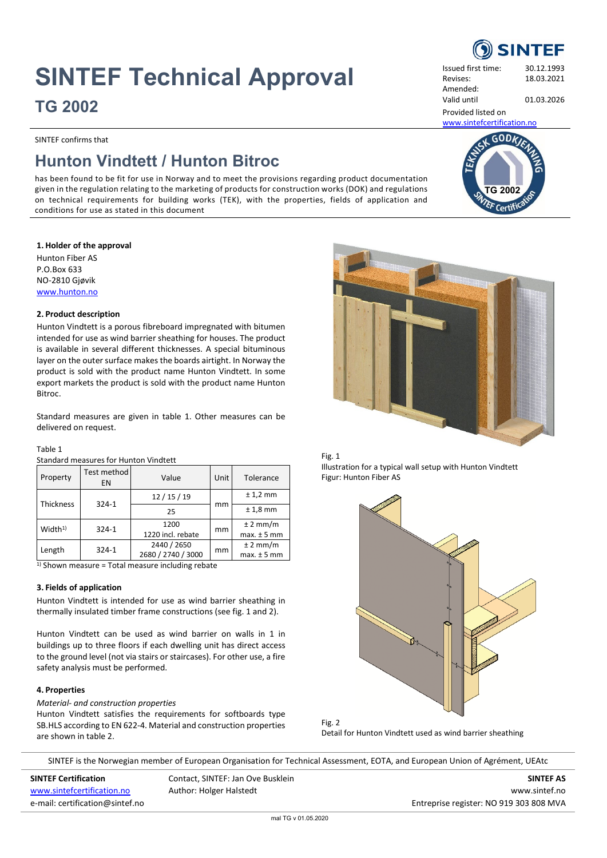# **SINTEF Technical Approval**

**TG 2002**

SINTEF confirms that

# **Hunton Vindtett / Hunton Bitroc**

has been found to be fit for use in Norway and to meet the provisions regarding product documentation given in the regulation relating to the marketing of products for construction works (DOK) and regulations on technical requirements for building works (TEK), with the properties, fields of application and conditions for use as stated in this document

# **1. Holder of the approval**

Hunton Fiber AS P.O.Box 633 NO-2810 Gjøvik [www.hunton.no](http://www.hunton.no/)

## **2. Product description**

Hunton Vindtett is a porous fibreboard impregnated with bitumen intended for use as wind barrier sheathing for houses. The product is available in several different thicknesses. A special bituminous layer on the outer surface makes the boards airtight. In Norway the product is sold with the product name Hunton Vindtett. In some export markets the product is sold with the product name Hunton Bitroc.

Standard measures are given in table 1. Other measures can be delivered on request.

# Table 1

Standard measures for Hunton Vindtett

| Property           | Test method<br>EN | Value                             | Unit | Tolerance                     |  |
|--------------------|-------------------|-----------------------------------|------|-------------------------------|--|
| Thickness          | $324 - 1$         | 12/15/19                          |      | $± 1,2$ mm                    |  |
|                    |                   | 25                                | mm   | $± 1,8$ mm                    |  |
| Width <sup>1</sup> | $324 - 1$         | 1200<br>1220 incl. rebate         | mm   | $±$ 2 mm/m<br>$max. \pm 5 mm$ |  |
| Length             | $324 - 1$         | 2440 / 2650<br>2680 / 2740 / 3000 | mm   | $±$ 2 mm/m<br>$max. \pm 5 mm$ |  |

 $1)$  Shown measure = Total measure including rebate

# **3. Fields of application**

Hunton Vindtett is intended for use as wind barrier sheathing in thermally insulated timber frame constructions (see fig. 1 and 2).

Hunton Vindtett can be used as wind barrier on walls in 1 in buildings up to three floors if each dwelling unit has direct access to the ground level (not via stairs or staircases). For other use, a fire safety analysis must be performed.

# **4. Properties**

*Material- and construction properties*

Hunton Vindtett satisfies the requirements for softboards type SB.HLS according to EN 622-4. Material and construction properties are shown in table 2.



[www.sintefcertification.no](http://www.sintefcertification.no/) Author: Holger Halstedt **WALSTER CONSTRESS AND AUTHOR** WWW.sintef.no e-mail: certification@sintef.no entreprise register: NO 919 303 808 MVA

| l Lii I |  |  |
|---------|--|--|
|         |  |  |

G 200<sup>2</sup>

 $GODk$ 

Provided listed on [www.sintefcertification.no](http://www.sintefcertification.no/)





Illustration for a typical wall setup with Hunton Vindtett Figur: Hunton Fiber AS



Detail for Hunton Vindtett used as wind barrier sheathing



Issued first time: 30.12.1993 Revises: 18.03.2021 Amended:

Valid until 01.03.2026

SINTEF is the Norwegian member of European Organisation for Technical Assessment, EOTA, and European Union of Agrément, UEAtc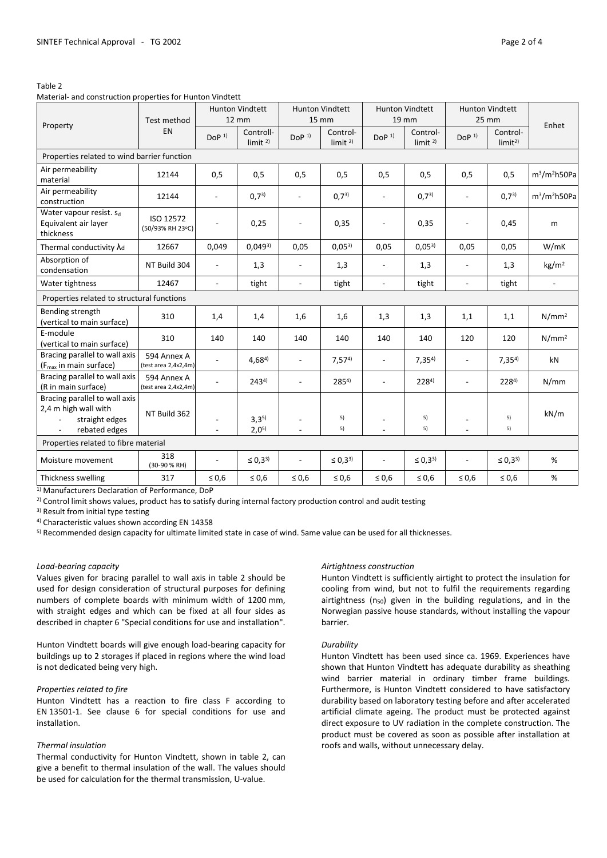#### Table 2

Material- and construction properties for Hunton Vindtett

| Property                                                                                 | Test method<br>EN                   | <b>Hunton Vindtett</b><br>12 mm |                                 | <b>Hunton Vindtett</b><br>15 mm            |                                | <b>Hunton Vindtett</b><br>19 mm |                                | <b>Hunton Vindtett</b><br>25 mm |                                |                   |
|------------------------------------------------------------------------------------------|-------------------------------------|---------------------------------|---------------------------------|--------------------------------------------|--------------------------------|---------------------------------|--------------------------------|---------------------------------|--------------------------------|-------------------|
|                                                                                          |                                     | DoP <sup>1</sup>                | Controll-<br>limit <sup>2</sup> | DOP <sup>1</sup>                           | Control-<br>limit <sup>2</sup> | DoP <sup>1</sup>                | Control-<br>limit <sup>2</sup> | DoP <sup>1</sup>                | Control-<br>limit <sup>2</sup> | Enhet             |
| Properties related to wind barrier function                                              |                                     |                                 |                                 |                                            |                                |                                 |                                |                                 |                                |                   |
| Air permeability<br>material                                                             | 12144                               | 0,5                             | 0,5                             | 0,5                                        | 0,5                            | 0,5                             | 0,5                            | 0,5                             | 0,5                            | $m^3/m^2$ h50Pa   |
| Air permeability<br>construction                                                         | 12144                               | $\blacksquare$                  | $0,7^{3}$                       | $\overline{\phantom{a}}$                   | $0,7^{3}$                      | $\overline{a}$                  | (0,7 <sup>3</sup> )            | $\overline{\phantom{a}}$        | $0,7^{3}$                      | $m^3/m^2h$ 50Pa   |
| Water vapour resist. Sd<br>Equivalent air layer<br>thickness                             | ISO 12572<br>(50/93% RH 23°C)       |                                 | 0,25                            | $\overline{a}$                             | 0,35                           |                                 | 0,35                           | $\blacksquare$                  | 0,45                           | m                 |
| Thermal conductivity $\lambda_d$                                                         | 12667                               | 0,049                           | $0,049^{3}$                     | 0,05                                       | $0,05^{3}$                     | 0,05                            | $0,05^{3}$                     | 0,05                            | 0,05                           | W/mK              |
| Absorption of<br>condensation                                                            | NT Build 304                        | $\overline{a}$                  | 1,3                             | $\overline{a}$                             | 1,3                            |                                 | 1,3                            | $\overline{a}$                  | 1,3                            | kg/m <sup>2</sup> |
| Water tightness                                                                          | 12467                               | $\overline{\phantom{a}}$        | tight                           | $\overline{a}$                             | tight                          | $\overline{a}$                  | tight                          | $\overline{a}$                  | tight                          | $\overline{a}$    |
| Properties related to structural functions                                               |                                     |                                 |                                 |                                            |                                |                                 |                                |                                 |                                |                   |
| Bending strength<br>(vertical to main surface)                                           | 310                                 | 1,4                             | 1,4                             | 1,6                                        | 1,6                            | 1,3                             | 1,3                            | 1,1                             | 1,1                            | N/mm <sup>2</sup> |
| E-module<br>(vertical to main surface)                                                   | 310                                 | 140                             | 140                             | 140                                        | 140                            | 140                             | 140                            | 120                             | 120                            | N/mm <sup>2</sup> |
| Bracing parallel to wall axis<br>(F <sub>max</sub> in main surface)                      | 594 Annex A<br>(test area 2,4x2,4m) | ÷                               | $4,68^{4}$                      | $\overline{a}$                             | $7,57^{4}$                     |                                 | $7,35^{4}$                     | $\overline{a}$                  | $7,35^{4}$                     | kN                |
| Bracing parallel to wall axis<br>(R in main surface)                                     | 594 Annex A<br>(test area 2,4x2,4m) |                                 | $243^{4}$                       | $\overline{a}$                             | $285^{4}$                      |                                 | $228^{4}$                      | $\blacksquare$                  | $228^{4}$                      | N/mm              |
| Bracing parallel to wall axis<br>2,4 m high wall with<br>straight edges<br>rebated edges | NT Build 362                        |                                 | $3,3^{5}$<br>$2,0^{5}$          | $\overline{\phantom{a}}$<br>$\overline{a}$ | 5)<br>5)                       |                                 | 5)<br>5)                       |                                 | 5)<br>5)                       | kN/m              |
| Properties related to fibre material                                                     |                                     |                                 |                                 |                                            |                                |                                 |                                |                                 |                                |                   |
| Moisture movement                                                                        | 318<br>(30-90 % RH)                 |                                 | $\leq 0.3^{3}$                  | $\overline{a}$                             | $\leq 0.3^{3}$                 |                                 | $\leq 0.3^{3}$                 |                                 | $\leq 0.3^{3}$                 | %                 |
| Thickness swelling                                                                       | 317                                 | $\leq 0.6$                      | $\leq 0.6$                      | $\leq 0.6$                                 | $\leq 0.6$                     | $\leq 0.6$                      | $\leq 0.6$                     | $\leq 0.6$                      | $\leq 0.6$                     | %                 |

1) Manufacturers Declaration of Performance, DoP

<sup>2)</sup> Control limit shows values, product has to satisfy during internal factory production control and audit testing

3) Result from initial type testing

4) Characteristic values shown according EN 14358

5) Recommended design capacity for ultimate limited state in case of wind. Same value can be used for all thicknesses.

#### *Load-bearing capacity*

Values given for bracing parallel to wall axis in table 2 should be used for design consideration of structural purposes for defining numbers of complete boards with minimum width of 1200 mm, with straight edges and which can be fixed at all four sides as described in chapter 6 "Special conditions for use and installation".

Hunton Vindtett boards will give enough load-bearing capacity for buildings up to 2 storages if placed in regions where the wind load is not dedicated being very high.

#### *Properties related to fire*

Hunton Vindtett has a reaction to fire class F according to EN 13501-1. See clause 6 for special conditions for use and installation.

#### *Thermal insulation*

Thermal conductivity for Hunton Vindtett, shown in table 2, can give a benefit to thermal insulation of the wall. The values should be used for calculation for the thermal transmission, U-value.

#### *Airtightness construction*

Hunton Vindtett is sufficiently airtight to protect the insulation for cooling from wind, but not to fulfil the requirements regarding airtightness ( $n_{50}$ ) given in the building regulations, and in the Norwegian passive house standards, without installing the vapour barrier.

# *Durability*

Hunton Vindtett has been used since ca. 1969. Experiences have shown that Hunton Vindtett has adequate durability as sheathing wind barrier material in ordinary timber frame buildings. Furthermore, is Hunton Vindtett considered to have satisfactory durability based on laboratory testing before and after accelerated artificial climate ageing. The product must be protected against direct exposure to UV radiation in the complete construction. The product must be covered as soon as possible after installation at roofs and walls, without unnecessary delay.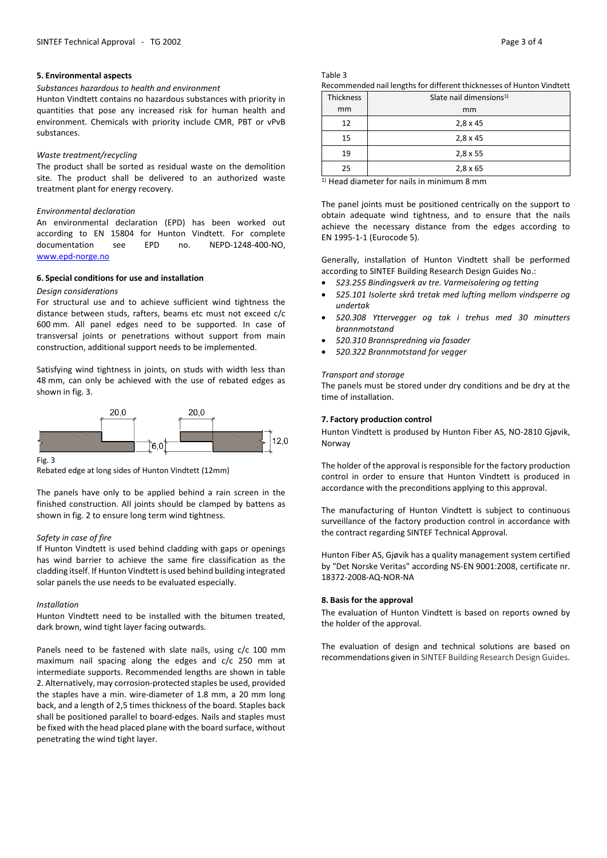#### **5. Environmental aspects**

#### *Substances hazardous to health and environment*

Hunton Vindtett contains no hazardous substances with priority in quantities that pose any increased risk for human health and environment. Chemicals with priority include CMR, PBT or vPvB substances.

#### *Waste treatment/recycling*

The product shall be sorted as residual waste on the demolition site. The product shall be delivered to an authorized waste treatment plant for energy recovery.

#### *Environmental declaration*

An environmental declaration (EPD) has been worked out according to EN 15804 for Hunton Vindtett. For complete documentation see EPD no. NEPD-1248-400-NO, [www.epd-norge.no](http://www.epd-norge.no/)

#### **6. Special conditions for use and installation**

#### *Design considerations*

For structural use and to achieve sufficient wind tightness the distance between studs, rafters, beams etc must not exceed c/c 600 mm. All panel edges need to be supported. In case of transversal joints or penetrations without support from main construction, additional support needs to be implemented.

Satisfying wind tightness in joints, on studs with width less than 48 mm, can only be achieved with the use of rebated edges as shown in fig. 3.



Fig. 3

Rebated edge at long sides of Hunton Vindtett (12mm)

The panels have only to be applied behind a rain screen in the finished construction. All joints should be clamped by battens as shown in fig. 2 to ensure long term wind tightness.

#### *Safety in case of fire*

If Hunton Vindtett is used behind cladding with gaps or openings has wind barrier to achieve the same fire classification as the cladding itself. If Hunton Vindtett is used behind building integrated solar panels the use needs to be evaluated especially.

#### *Installation*

Hunton Vindtett need to be installed with the bitumen treated, dark brown, wind tight layer facing outwards.

Panels need to be fastened with slate nails, using c/c 100 mm maximum nail spacing along the edges and c/c 250 mm at intermediate supports. Recommended lengths are shown in table 2. Alternatively, may corrosion-protected staples be used, provided the staples have a min. wire-diameter of 1.8 mm, a 20 mm long back, and a length of 2,5 times thickness of the board. Staples back shall be positioned parallel to board-edges. Nails and staples must be fixed with the head placed plane with the board surface, without penetrating the wind tight layer.

Table 3

| Recommended nail lengths for different thicknesses of Hunton Vindtett |
|-----------------------------------------------------------------------|
|-----------------------------------------------------------------------|

| Thickness | Slate nail dimensions <sup>1)</sup> |  |  |  |
|-----------|-------------------------------------|--|--|--|
| mm        | mm                                  |  |  |  |
| 12        | $2,8 \times 45$                     |  |  |  |
| 15        | $2,8 \times 45$                     |  |  |  |
| 19        | $2,8 \times 55$                     |  |  |  |
| 25        | $2,8 \times 65$                     |  |  |  |

<sup>1)</sup> Head diameter for nails in minimum 8 mm

The panel joints must be positioned centrically on the support to obtain adequate wind tightness, and to ensure that the nails achieve the necessary distance from the edges according to EN 1995-1-1 (Eurocode 5).

Generally, installation of Hunton Vindtett shall be performed according to SINTEF Building Research Design Guides No.:

- *523.255 Bindingsverk av tre. Varmeisolering og tetting*
- *525.101 Isolerte skrå tretak med lufting mellom vindsperre og undertak*
- *520.308 Yttervegger og tak i trehus med 30 minutters brannmotstand*
- *520.310 Brannspredning via fasader*
- *520.322 Brannmotstand for vegger*

#### *Transport and storage*

The panels must be stored under dry conditions and be dry at the time of installation.

#### **7. Factory production control**

Hunton Vindtett is prodused by Hunton Fiber AS, NO-2810 Gjøvik, Norway

The holder of the approval is responsible for the factory production control in order to ensure that Hunton Vindtett is produced in accordance with the preconditions applying to this approval.

The manufacturing of Hunton Vindtett is subject to continuous surveillance of the factory production control in accordance with the contract regarding SINTEF Technical Approval.

Hunton Fiber AS, Gjøvik has a quality management system certified by "Det Norske Veritas" according NS-EN 9001:2008, certificate nr. 18372-2008-AQ-NOR-NA

#### **8. Basis for the approval**

The evaluation of Hunton Vindtett is based on reports owned by the holder of the approval.

The evaluation of design and technical solutions are based on recommendations given in SINTEF Building Research Design Guides.